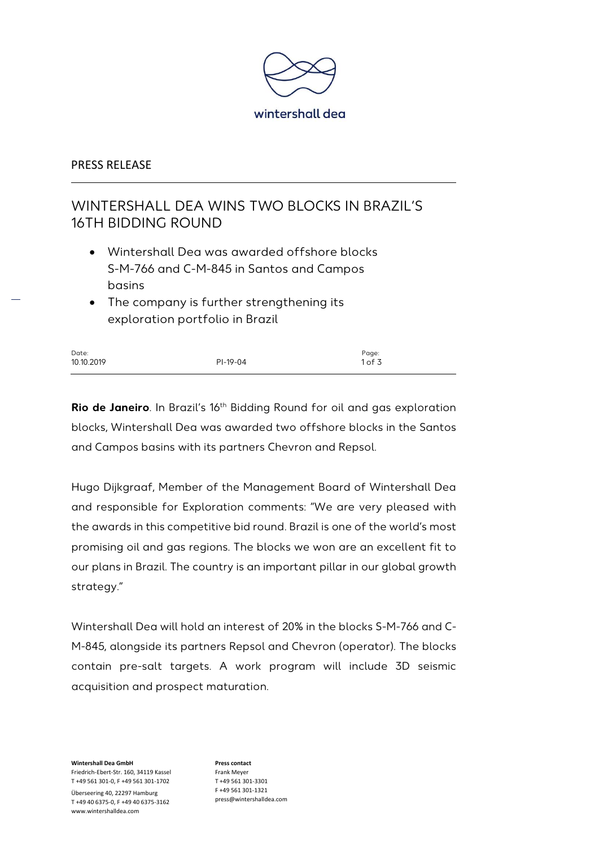

## PRESS RELEASE

# WINTERSHALL DEA WINS TWO BLOCKS IN BRAZIL'S 16TH BIDDING ROUND

- Wintershall Dea was awarded offshore blocks S-M-766 and C-M-845 in Santos and Campos basins
- The company is further strengthening its exploration portfolio in Brazil

| Date:      |          | Page:  |
|------------|----------|--------|
| 10.10.2019 | PI-19-04 | 1 of 3 |

**Rio de Janeiro**. In Brazil's 16th Bidding Round for oil and gas exploration blocks, Wintershall Dea was awarded two offshore blocks in the Santos and Campos basins with its partners Chevron and Repsol.

Hugo Dijkgraaf, Member of the Management Board of Wintershall Dea and responsible for Exploration comments: "We are very pleased with the awards in this competitive bid round. Brazil is one of the world's most promising oil and gas regions. The blocks we won are an excellent fit to our plans in Brazil. The country is an important pillar in our global growth strategy."

Wintershall Dea will hold an interest of 20% in the blocks S-M-766 and C-M-845, alongside its partners Repsol and Chevron (operator). The blocks contain pre-salt targets. A work program will include 3D seismic acquisition and prospect maturation.

**Wintershall Dea GmbH** Friedrich-Ebert-Str. 160, 34119 Kassel T +49 561 301-0, F +49 561 301-1702 Überseering 40, 22297 Hamburg T +49 40 6375-0, F +49 40 6375-3162 www.wintershalldea.com

**Press contact** Frank Meyer T +49 561 301-3301 F +49 561 301-1321 press@wintershalldea.com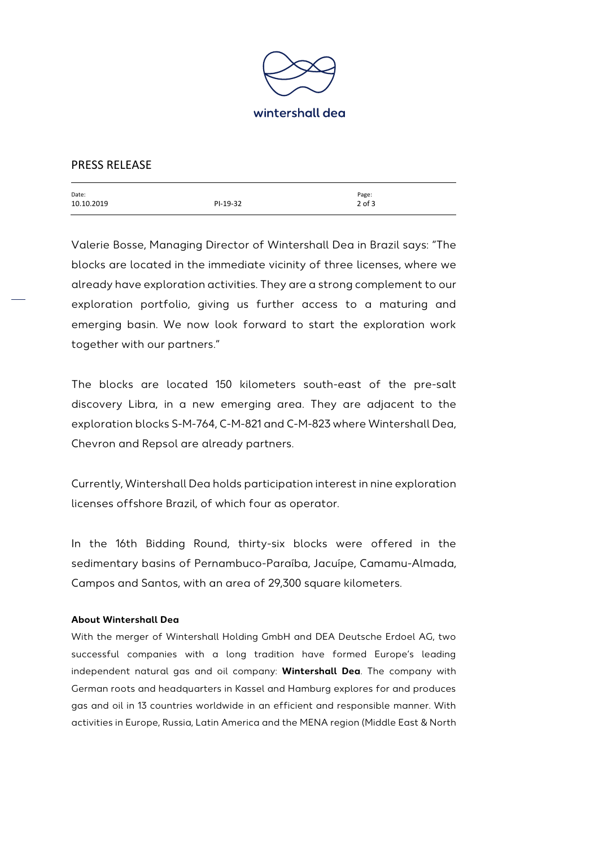

### PRESS RELEASE

| Date:      |          | Page:      |
|------------|----------|------------|
| 10.10.2019 | PI-19-32 | $2$ of $3$ |
|            |          |            |

Valerie Bosse, Managing Director of Wintershall Dea in Brazil says: "The blocks are located in the immediate vicinity of three licenses, where we already have exploration activities. They are a strong complement to our exploration portfolio, giving us further access to a maturing and emerging basin. We now look forward to start the exploration work together with our partners."

The blocks are located 150 kilometers south-east of the pre-salt discovery Libra, in a new emerging area. They are adjacent to the exploration blocks S-M-764, C-M-821 and C-M-823 where Wintershall Dea, Chevron and Repsol are already partners.

Currently, Wintershall Dea holds participation interest in nine exploration licenses offshore Brazil, of which four as operator.

In the 16th Bidding Round, thirty-six blocks were offered in the sedimentary basins of Pernambuco-Paraíba, Jacuípe, Camamu-Almada, Campos and Santos, with an area of 29,300 square kilometers.

#### **About Wintershall Dea**

With the merger of Wintershall Holding GmbH and DEA Deutsche Erdoel AG, two successful companies with a long tradition have formed Europe's leading independent natural gas and oil company: **Wintershall Dea**. The company with German roots and headquarters in Kassel and Hamburg explores for and produces gas and oil in 13 countries worldwide in an efficient and responsible manner. With activities in Europe, Russia, Latin America and the MENA region (Middle East & North